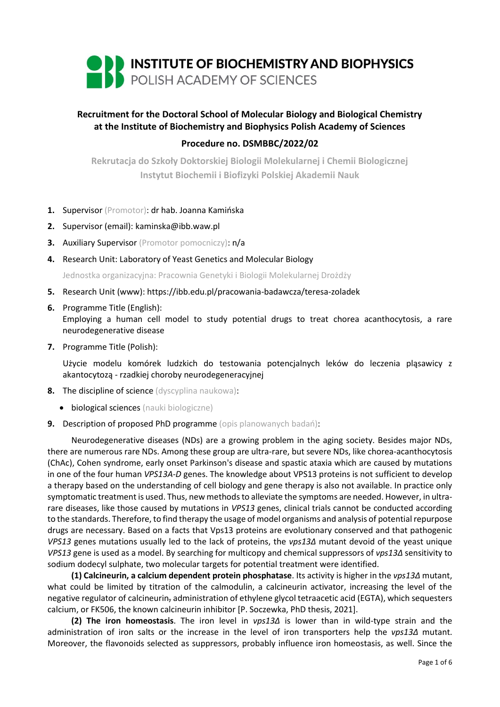

# **Recruitment for the Doctoral School of Molecular Biology and Biological Chemistry at the Institute of Biochemistry and Biophysics Polish Academy of Sciences**

## **Procedure no. DSMBBC/2022/02**

**Rekrutacja do Szkoły Doktorskiej Biologii Molekularnej i Chemii Biologicznej Instytut Biochemii i Biofizyki Polskiej Akademii Nauk**

- **1.** Supervisor (Promotor): dr hab. Joanna Kamińska
- **2.** Supervisor (email): kaminska@ibb.waw.pl
- **3.** Auxiliary Supervisor (Promotor pomocniczy): n/a
- **4.** Research Unit: Laboratory of Yeast Genetics and Molecular Biology

Jednostka organizacyjna: Pracownia Genetyki i Biologii Molekularnej Drożdży

- **5.** Research Unit (www): https://ibb.edu.pl/pracowania-badawcza/teresa-zoladek
- **6.** Programme Title (English):

Employing a human cell model to study potential drugs to treat chorea acanthocytosis, a rare neurodegenerative disease

**7.** Programme Title (Polish):

Użycie modelu komórek ludzkich do testowania potencjalnych leków do leczenia pląsawicy z akantocytozą - rzadkiej choroby neurodegeneracyjnej

- **8.** The discipline of science (dyscyplina naukowa):
	- **•** biological sciences (nauki biologiczne)
- **9.** Description of proposed PhD programme (opis planowanych badań):

Neurodegenerative diseases (NDs) are a growing problem in the aging society. Besides major NDs, there are numerous rare NDs. Among these group are ultra-rare, but severe NDs, like chorea-acanthocytosis (ChAc), Cohen syndrome, early onset Parkinson's disease and spastic ataxia which are caused by mutations in one of the four human *VPS13A-D* genes. The knowledge about VPS13 proteins is not sufficient to develop a therapy based on the understanding of cell biology and gene therapy is also not available. In practice only symptomatic treatment is used. Thus, new methods to alleviate the symptoms are needed. However, in ultrarare diseases, like those caused by mutations in *VPS13* genes, clinical trials cannot be conducted according to the standards. Therefore, to find therapy the usage of model organisms and analysis of potential repurpose drugs are necessary. Based on a facts that Vps13 proteins are evolutionary conserved and that pathogenic *VPS13* genes mutations usually led to the lack of proteins, the *vps13Δ* mutant devoid of the yeast unique *VPS13* gene is used as a model. By searching for multicopy and chemical suppressors of *vps13Δ* sensitivity to sodium dodecyl sulphate, two molecular targets for potential treatment were identified.

**(1) Calcineurin, a calcium dependent protein phosphatase**. Its activity is higher in the *vps13Δ* mutant, what could be limited by titration of the calmodulin, a calcineurin activator, increasing the level of the negative regulator of calcineurin, administration of ethylene glycol tetraacetic acid (EGTA), which sequesters calcium, or FK506, the known calcineurin inhibitor [P. Soczewka, PhD thesis, 2021].

**(2) The iron homeostasis**. The iron level in *vps13Δ* is lower than in wild-type strain and the administration of iron salts or the increase in the level of iron transporters help the *vps13Δ* mutant. Moreover, the flavonoids selected as suppressors, probably influence iron homeostasis, as well. Since the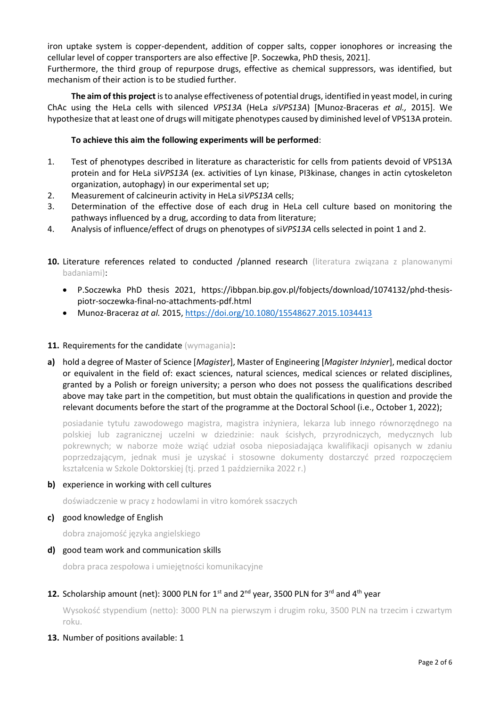iron uptake system is copper-dependent, addition of copper salts, copper ionophores or increasing the cellular level of copper transporters are also effective [P. Soczewka, PhD thesis, 2021].

Furthermore, the third group of repurpose drugs, effective as chemical suppressors, was identified, but mechanism of their action is to be studied further.

**The aim of this project** is to analyse effectiveness of potential drugs, identified in yeast model, in curing ChAc using the HeLa cells with silenced *VPS13A* (HeLa *siVPS13A*) [Munoz-Braceras *et al.,* 2015]. We hypothesize that at least one of drugs will mitigate phenotypes caused by diminished level of VPS13A protein.

## **To achieve this aim the following experiments will be performed**:

- 1. Test of phenotypes described in literature as characteristic for cells from patients devoid of VPS13A protein and for HeLa si*VPS13A* (ex. activities of Lyn kinase, PI3kinase, changes in actin cytoskeleton organization, autophagy) in our experimental set up;
- 2. Measurement of calcineurin activity in HeLa si*VPS13A* cells;
- 3. Determination of the effective dose of each drug in HeLa cell culture based on monitoring the pathways influenced by a drug, according to data from literature;
- 4. Analysis of influence/effect of drugs on phenotypes of si*VPS13A* cells selected in point 1 and 2.
- **10.** Literature references related to conducted /planned research (literatura związana z planowanymi badaniami):
	- P.Soczewka PhD thesis 2021, https://ibbpan.bip.gov.pl/fobjects/download/1074132/phd-thesispiotr-soczewka-final-no-attachments-pdf.html
	- Munoz-Braceraz *at al.* 2015,<https://doi.org/10.1080/15548627.2015.1034413>

## 11. Requirements for the candidate (wymagania):

**a)** hold a degree of Master of Science [*Magister*], Master of Engineering [*Magister Inżynier*], medical doctor or equivalent in the field of: exact sciences, natural sciences, medical sciences or related disciplines, granted by a Polish or foreign university; a person who does not possess the qualifications described above may take part in the competition, but must obtain the qualifications in question and provide the relevant documents before the start of the programme at the Doctoral School (i.e., October 1, 2022);

posiadanie tytułu zawodowego magistra, magistra inżyniera, lekarza lub innego równorzędnego na polskiej lub zagranicznej uczelni w dziedzinie: nauk ścisłych, przyrodniczych, medycznych lub pokrewnych; w naborze może wziąć udział osoba nieposiadająca kwalifikacji opisanych w zdaniu poprzedzającym, jednak musi je uzyskać i stosowne dokumenty dostarczyć przed rozpoczęciem kształcenia w Szkole Doktorskiej (tj. przed 1 października 2022 r.)

**b)** experience in working with cell cultures

doświadczenie w pracy z hodowlami in vitro komórek ssaczych

**c)** good knowledge of English

dobra znajomość języka angielskiego

**d)** good team work and communication skills

dobra praca zespołowa i umiejętności komunikacyjne

## **12.** Scholarship amount (net): 3000 PLN for  $1^{st}$  and  $2^{nd}$  year, 3500 PLN for 3<sup>rd</sup> and  $4^{th}$  year

Wysokość stypendium (netto): 3000 PLN na pierwszym i drugim roku, 3500 PLN na trzecim i czwartym roku.

**13.** Number of positions available: 1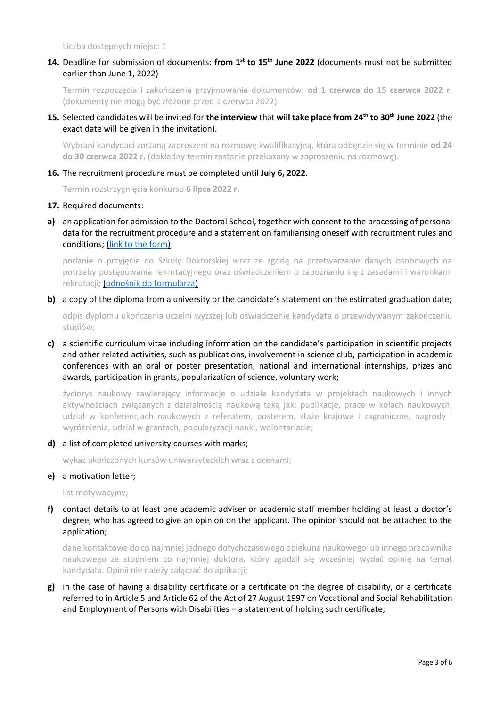Liczba dostępnych miejsc: 1

## **14.** Deadline for submission of documents: **from 1st to 15th June 2022** (documents must not be submitted earlier than June 1, 2022)

Termin rozpoczęcia i zakończenia przyjmowania dokumentów: **od 1 czerwca do 15 czerwca 2022 r**. (dokumenty nie mogą być złożone przed 1 czerwca 2022)

## **15.** Selected candidates will be invited for **the interview** that **will take place from 24th to 30th June 2022** (the exact date will be given in the invitation).

Wybrani kandydaci zostaną zaproszeni na rozmowę kwalifikacyjną, która odbędzie się w terminie **od 24 do 30 czerwca 2022 r.** (dokładny termin zostanie przekazany w zaproszeniu na rozmowę).

## **16.** The recruitment procedure must be completed until **July 6, 2022**.

Termin rozstrzygnięcia konkursu **6 lipca 2022 r.**

#### **17.** Required documents:

**a)** an application for admission to the Doctoral School, together with consent to the processing of personal data for the recruitment procedure and a statement on familiarising oneself with recruitment rules and conditions; [\(link to the form\)](https://ibb.edu.pl/app/uploads/2022/05/application-form_doctoralschool_ibb-pas.docx)

podanie o przyjęcie do Szkoły Doktorskiej wraz ze zgodą na przetwarzanie danych osobowych na potrzeby postępowania rekrutacyjnego oraz oświadczeniem o zapoznaniu się z zasadami i warunkami rekrutacji; ([odnośnik do formularza](https://ibb.edu.pl/app/uploads/2022/05/application-form_doctoralschool_ibb-pas.docx))

#### **b)** a copy of the diploma from a university or the candidate's statement on the estimated graduation date;

odpis dyplomu ukończenia uczelni wyższej lub oświadczenie kandydata o przewidywanym zakończeniu studiów;

**c)** a scientific curriculum vitae including information on the candidate's participation in scientific projects and other related activities, such as publications, involvement in science club, participation in academic conferences with an oral or poster presentation, national and international internships, prizes and awards, participation in grants, popularization of science, voluntary work;

życiorys naukowy zawierający informacje o udziale kandydata w projektach naukowych i innych aktywnościach związanych z działalnością naukową taką jak: publikacje, prace w kołach naukowych, udział w konferencjach naukowych z referatem, posterem, staże krajowe i zagraniczne, nagrody i wyróżnienia, udział w grantach, popularyzacji nauki, wolontariacie;

## **d)** a list of completed university courses with marks;

wykaz ukończonych kursów uniwersyteckich wraz z ocenami;

**e)** a motivation letter;

list motywacyjny;

**f)** contact details to at least one academic adviser or academic staff member holding at least a doctor's degree, who has agreed to give an opinion on the applicant. The opinion should not be attached to the application;

dane kontaktowe do co najmniej jednego dotychczasowego opiekuna naukowego lub innego pracownika naukowego ze stopniem co najmniej doktora, który zgodził się wcześniej wydać opinię na temat kandydata. Opinii nie należy załączać do aplikacji;

**g)** in the case of having a disability certificate or a certificate on the degree of disability, or a certificate referred to in Article 5 and Article 62 of the Act of 27 August 1997 on Vocational and Social Rehabilitation and Employment of Persons with Disabilities – a statement of holding such certificate;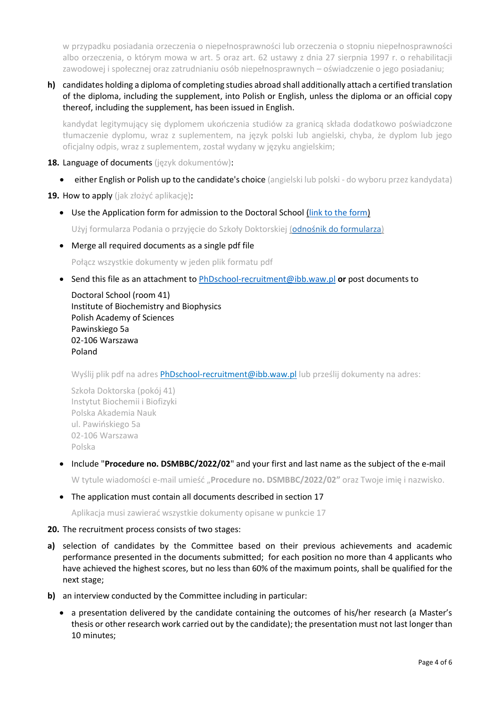w przypadku posiadania orzeczenia o niepełnosprawności lub orzeczenia o stopniu niepełnosprawności albo orzeczenia, o którym mowa w art. 5 oraz art. 62 ustawy z dnia 27 sierpnia 1997 r. o rehabilitacji zawodowej i społecznej oraz zatrudnianiu osób niepełnosprawnych – oświadczenie o jego posiadaniu;

**h)** candidates holding a diploma of completing studies abroad shall additionally attach a certified translation of the diploma, including the supplement, into Polish or English, unless the diploma or an official copy thereof, including the supplement, has been issued in English.

kandydat legitymujący się dyplomem ukończenia studiów za granicą składa dodatkowo poświadczone tłumaczenie dyplomu, wraz z suplementem, na język polski lub angielski, chyba, że dyplom lub jego oficjalny odpis, wraz z suplementem, został wydany w języku angielskim;

- **18.** Language of documents (język dokumentów):
	- **either English or Polish up to the candidate's choice** (angielski lub polski do wyboru przez kandydata)

**19.** How to apply (jak złożyć aplikację):

• Use the Application form for admission to the Doctoral School [\(link to the form\)](https://ibb.edu.pl/app/uploads/2022/05/application-form_doctoralschool_ibb-pas.docx)

Użyj formularza Podania o przyjęcie do Szkoły Doktorskiej ([odnośnik do formularza](https://ibb.edu.pl/app/uploads/2022/05/application-form_doctoralschool_ibb-pas.docx))

Merge all required documents as a single pdf file

Połącz wszystkie dokumenty w jeden plik formatu pdf

Send this file as an attachment to [PhDschool-recruitment@ibb.waw.pl](mailto:PhDschool-recruitment@ibb.waw.pl) **or** post documents to

Doctoral School (room 41) Institute of Biochemistry and Biophysics Polish Academy of Sciences Pawinskiego 5a 02-106 Warszawa Poland

Wyślij plik pdf na adres [PhDschool-recruitment@ibb.waw.pl](mailto:PhDschool-recruitment@ibb.waw.pl) lub prześlij dokumenty na adres:

Szkoła Doktorska (pokój 41) Instytut Biochemii i Biofizyki Polska Akademia Nauk ul. Pawińskiego 5a 02-106 Warszawa Polska

 Include "**Procedure no. DSMBBC/2022/02**" and your first and last name as the subject of the e-mail W tytule wiadomości e-mail umieść "**Procedure no. DSMBBC/2022/02"** oraz Twoje imię i nazwisko.

## The application must contain all documents described in section 17

Aplikacja musi zawierać wszystkie dokumenty opisane w punkcie 17

## **20.** The recruitment process consists of two stages:

- **a)** selection of candidates by the Committee based on their previous achievements and academic performance presented in the documents submitted; for each position no more than 4 applicants who have achieved the highest scores, but no less than 60% of the maximum points, shall be qualified for the next stage;
- **b)** an interview conducted by the Committee including in particular:
	- a presentation delivered by the candidate containing the outcomes of his/her research (a Master's thesis or other research work carried out by the candidate); the presentation must not last longer than 10 minutes;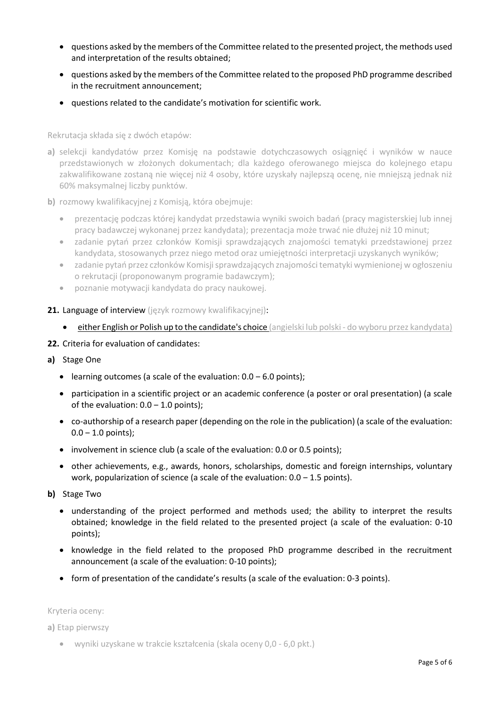- questions asked by the members of the Committee related to the presented project, the methods used and interpretation of the results obtained;
- questions asked by the members of the Committee related to the proposed PhD programme described in the recruitment announcement;
- questions related to the candidate's motivation for scientific work.

Rekrutacja składa się z dwóch etapów:

- **a)** selekcji kandydatów przez Komisję na podstawie dotychczasowych osiągnięć i wyników w nauce przedstawionych w złożonych dokumentach; dla każdego oferowanego miejsca do kolejnego etapu zakwalifikowane zostaną nie więcej niż 4 osoby, które uzyskały najlepszą ocenę, nie mniejszą jednak niż 60% maksymalnej liczby punktów.
- **b)** rozmowy kwalifikacyjnej z Komisją, która obejmuje:
	- prezentację podczas której kandydat przedstawia wyniki swoich badań (pracy magisterskiej lub innej pracy badawczej wykonanej przez kandydata); prezentacja może trwać nie dłużej niż 10 minut;
	- zadanie pytań przez członków Komisji sprawdzających znajomości tematyki przedstawionej przez kandydata, stosowanych przez niego metod oraz umiejętności interpretacji uzyskanych wyników;
	- zadanie pytań przez członków Komisji sprawdzających znajomości tematyki wymienionej w ogłoszeniu o rekrutacji (proponowanym programie badawczym);
	- poznanie motywacji kandydata do pracy naukowej.
- 21. Language of interview (język rozmowy kwalifikacyjnej):
	- **either English or Polish up to the candidate's choice** (angielski lub polski do wyboru przez kandydata)
- **22.** Criteria for evaluation of candidates:
- **a)** Stage One
	- **.** learning outcomes (a scale of the evaluation:  $0.0 6.0$  points);
	- participation in a scientific project or an academic conference (a poster or oral presentation) (a scale of the evaluation:  $0.0 - 1.0$  points);
	- co-authorship of a research paper (depending on the role in the publication) (a scale of the evaluation:  $0.0 - 1.0$  points);
	- involvement in science club (a scale of the evaluation: 0.0 or 0.5 points);
	- other achievements, e.g., awards, honors, scholarships, domestic and foreign internships, voluntary work, popularization of science (a scale of the evaluation:  $0.0 - 1.5$  points).
- **b)** Stage Two
	- understanding of the project performed and methods used; the ability to interpret the results obtained; knowledge in the field related to the presented project (a scale of the evaluation: 0-10 points);
	- knowledge in the field related to the proposed PhD programme described in the recruitment announcement (a scale of the evaluation: 0-10 points);
	- form of presentation of the candidate's results (a scale of the evaluation: 0-3 points).

Kryteria oceny:

**a)** Etap pierwszy

wyniki uzyskane w trakcie kształcenia (skala oceny 0,0 - 6,0 pkt.)